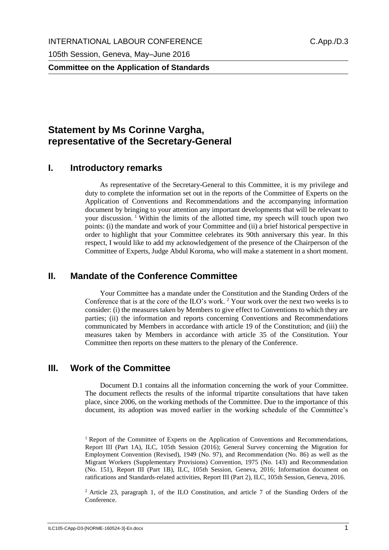**Committee on the Application of Standards**

# **Statement by Ms Corinne Vargha, representative of the Secretary-General**

#### **I. Introductory remarks**

As representative of the Secretary-General to this Committee, it is my privilege and duty to complete the information set out in the reports of the Committee of Experts on the Application of Conventions and Recommendations and the accompanying information document by bringing to your attention any important developments that will be relevant to your discussion. <sup>1</sup> Within the limits of the allotted time, my speech will touch upon two points: (i) the mandate and work of your Committee and (ii) a brief historical perspective in order to highlight that your Committee celebrates its 90th anniversary this year. In this respect, I would like to add my acknowledgement of the presence of the Chairperson of the Committee of Experts, Judge Abdul Koroma, who will make a statement in a short moment.

### **II. Mandate of the Conference Committee**

Your Committee has a mandate under the Constitution and the Standing Orders of the Conference that is at the core of the ILO's work. <sup>2</sup> Your work over the next two weeks is to consider: (i) the measures taken by Members to give effect to Conventions to which they are parties; (ii) the information and reports concerning Conventions and Recommendations communicated by Members in accordance with article 19 of the Constitution; and (iii) the measures taken by Members in accordance with article 35 of the Constitution. Your Committee then reports on these matters to the plenary of the Conference.

#### **III. Work of the Committee**

Document D.1 contains all the information concerning the work of your Committee. The document reflects the results of the informal tripartite consultations that have taken place, since 2006, on the working methods of the Committee. Due to the importance of this document, its adoption was moved earlier in the working schedule of the Committee's

<sup>1</sup> Report of the Committee of Experts on the Application of Conventions and Recommendations, Report III (Part 1A), ILC, 105th Session (2016); General Survey concerning the Migration for Employment Convention (Revised), 1949 (No. 97), and Recommendation (No. 86) as well as the Migrant Workers (Supplementary Provisions) Convention, 1975 (No. 143) and Recommendation (No. 151), Report III (Part 1B), ILC, 105th Session, Geneva, 2016; Information document on ratifications and Standards-related activities, Report III (Part 2), ILC, 105th Session, Geneva, 2016.

<sup>2</sup> Article 23, paragraph 1, of the ILO Constitution, and article 7 of the Standing Orders of the Conference.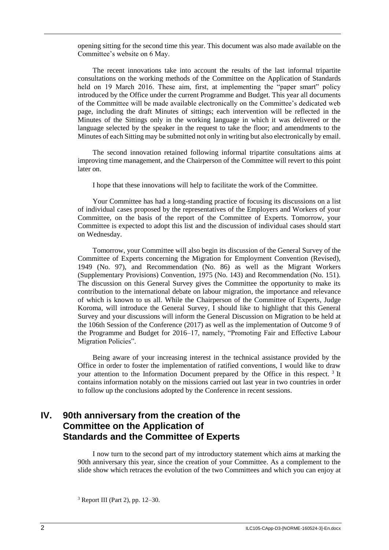opening sitting for the second time this year. This document was also made available on the Committee's website on 6 May.

The recent innovations take into account the results of the last informal tripartite consultations on the working methods of the Committee on the Application of Standards held on 19 March 2016. These aim, first, at implementing the "paper smart" policy introduced by the Office under the current Programme and Budget. This year all documents of the Committee will be made available electronically on the Committee's dedicated web page, including the draft Minutes of sittings; each intervention will be reflected in the Minutes of the Sittings only in the working language in which it was delivered or the language selected by the speaker in the request to take the floor; and amendments to the Minutes of each Sitting may be submitted not only in writing but also electronically by email.

The second innovation retained following informal tripartite consultations aims at improving time management, and the Chairperson of the Committee will revert to this point later on.

I hope that these innovations will help to facilitate the work of the Committee.

Your Committee has had a long-standing practice of focusing its discussions on a list of individual cases proposed by the representatives of the Employers and Workers of your Committee, on the basis of the report of the Committee of Experts. Tomorrow, your Committee is expected to adopt this list and the discussion of individual cases should start on Wednesday.

Tomorrow, your Committee will also begin its discussion of the General Survey of the Committee of Experts concerning the Migration for Employment Convention (Revised), 1949 (No. 97), and Recommendation (No. 86) as well as the Migrant Workers (Supplementary Provisions) Convention, 1975 (No. 143) and Recommendation (No. 151). The discussion on this General Survey gives the Committee the opportunity to make its contribution to the international debate on labour migration, the importance and relevance of which is known to us all. While the Chairperson of the Committee of Experts, Judge Koroma, will introduce the General Survey, I should like to highlight that this General Survey and your discussions will inform the General Discussion on Migration to be held at the 106th Session of the Conference (2017) as well as the implementation of Outcome 9 of the Programme and Budget for 2016–17, namely, "Promoting Fair and Effective Labour Migration Policies".

Being aware of your increasing interest in the technical assistance provided by the Office in order to foster the implementation of ratified conventions, I would like to draw your attention to the Information Document prepared by the Office in this respect.<sup>3</sup> It contains information notably on the missions carried out last year in two countries in order to follow up the conclusions adopted by the Conference in recent sessions.

## **IV. 90th anniversary from the creation of the Committee on the Application of Standards and the Committee of Experts**

I now turn to the second part of my introductory statement which aims at marking the 90th anniversary this year, since the creation of your Committee. As a complement to the slide show which retraces the evolution of the two Committees and which you can enjoy at

 $3$  Report III (Part 2), pp. 12–30.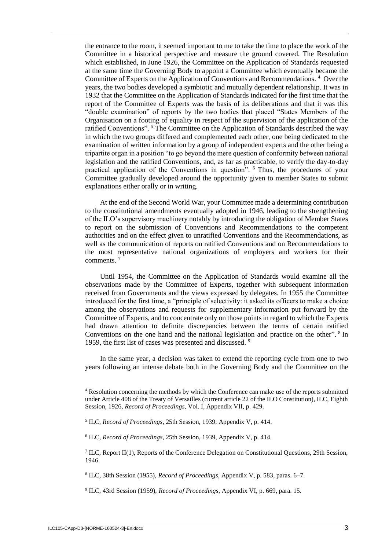the entrance to the room, it seemed important to me to take the time to place the work of the Committee in a historical perspective and measure the ground covered. The Resolution which established, in June 1926, the Committee on the Application of Standards requested at the same time the Governing Body to appoint a Committee which eventually became the Committee of Experts on the Application of Conventions and Recommendations.<sup>4</sup> Over the years, the two bodies developed a symbiotic and mutually dependent relationship. It was in 1932 that the Committee on the Application of Standards indicated for the first time that the report of the Committee of Experts was the basis of its deliberations and that it was this "double examination" of reports by the two bodies that placed "States Members of the Organisation on a footing of equality in respect of the supervision of the application of the ratified Conventions". <sup>5</sup> The Committee on the Application of Standards described the way in which the two groups differed and complemented each other, one being dedicated to the examination of written information by a group of independent experts and the other being a tripartite organ in a position "to go beyond the mere question of conformity between national legislation and the ratified Conventions, and, as far as practicable, to verify the day-to-day practical application of the Conventions in question". <sup>6</sup> Thus, the procedures of your Committee gradually developed around the opportunity given to member States to submit explanations either orally or in writing.

At the end of the Second World War, your Committee made a determining contribution to the constitutional amendments eventually adopted in 1946, leading to the strengthening of the ILO's supervisory machinery notably by introducing the obligation of Member States to report on the submission of Conventions and Recommendations to the competent authorities and on the effect given to unratified Conventions and the Recommendations, as well as the communication of reports on ratified Conventions and on Recommendations to the most representative national organizations of employers and workers for their comments. <sup>7</sup>

Until 1954, the Committee on the Application of Standards would examine all the observations made by the Committee of Experts, together with subsequent information received from Governments and the views expressed by delegates. In 1955 the Committee introduced for the first time, a "principle of selectivity: it asked its officers to make a choice among the observations and requests for supplementary information put forward by the Committee of Experts, and to concentrate only on those points in regard to which the Experts had drawn attention to definite discrepancies between the terms of certain ratified Conventions on the one hand and the national legislation and practice on the other". <sup>8</sup> In 1959, the first list of cases was presented and discussed.<sup>9</sup>

In the same year, a decision was taken to extend the reporting cycle from one to two years following an intense debate both in the Governing Body and the Committee on the

8 ILC, 38th Session (1955), *Record of Proceedings*, Appendix V, p. 583, paras. 6–7.

9 ILC, 43rd Session (1959), *Record of Proceedings*, Appendix VI, p. 669, para. 15.

<sup>4</sup> Resolution concerning the methods by which the Conference can make use of the reports submitted under Article 408 of the Treaty of Versailles (current article 22 of the ILO Constitution), ILC, Eighth Session, 1926, *Record of Proceedings*, Vol. I, Appendix VII, p. 429.

<sup>5</sup> ILC, *Record of Proceedings*, 25th Session, 1939, Appendix V, p. 414.

<sup>6</sup> ILC, *Record of Proceedings*, 25th Session, 1939, Appendix V, p. 414.

<sup>&</sup>lt;sup>7</sup> ILC, Report II(1), Reports of the Conference Delegation on Constitutional Questions, 29th Session, 1946.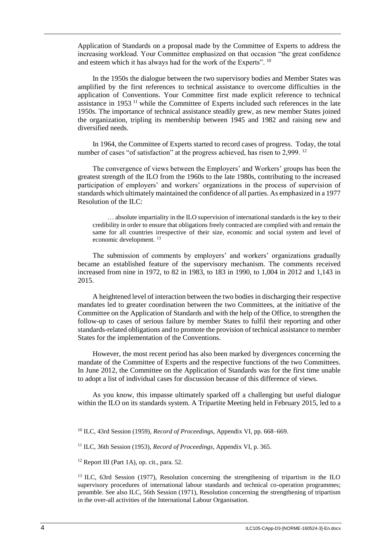Application of Standards on a proposal made by the Committee of Experts to address the increasing workload. Your Committee emphasized on that occasion "the great confidence and esteem which it has always had for the work of the Experts". <sup>10</sup>

In the 1950s the dialogue between the two supervisory bodies and Member States was amplified by the first references to technical assistance to overcome difficulties in the application of Conventions. Your Committee first made explicit reference to technical assistance in 1953 <sup>11</sup> while the Committee of Experts included such references in the late 1950s. The importance of technical assistance steadily grew, as new member States joined the organization, tripling its membership between 1945 and 1982 and raising new and diversified needs.

In 1964, the Committee of Experts started to record cases of progress. Today, the total number of cases "of satisfaction" at the progress achieved, has risen to 2,999.<sup>12</sup>

The convergence of views between the Employers' and Workers' groups has been the greatest strength of the ILO from the 1960s to the late 1980s, contributing to the increased participation of employers' and workers' organizations in the process of supervision of standards which ultimately maintained the confidence of all parties. As emphasized in a 1977 Resolution of the ILC:

… absolute impartiality in the ILO supervision of international standards is the key to their credibility in order to ensure that obligations freely contracted are complied with and remain the same for all countries irrespective of their size, economic and social system and level of economic development. <sup>13</sup>

The submission of comments by employers' and workers' organizations gradually became an established feature of the supervisory mechanism. The comments received increased from nine in 1972, to 82 in 1983, to 183 in 1990, to 1,004 in 2012 and 1,143 in 2015.

A heightened level of interaction between the two bodies in discharging their respective mandates led to greater coordination between the two Committees, at the initiative of the Committee on the Application of Standards and with the help of the Office, to strengthen the follow-up to cases of serious failure by member States to fulfil their reporting and other standards-related obligations and to promote the provision of technical assistance to member States for the implementation of the Conventions.

However, the most recent period has also been marked by divergences concerning the mandate of the Committee of Experts and the respective functions of the two Committees. In June 2012, the Committee on the Application of Standards was for the first time unable to adopt a list of individual cases for discussion because of this difference of views.

As you know, this impasse ultimately sparked off a challenging but useful dialogue within the ILO on its standards system. A Tripartite Meeting held in February 2015, led to a

<sup>10</sup> ILC, 43rd Session (1959), *Record of Proceedings*, Appendix VI, pp. 668–669.

<sup>11</sup> ILC, 36th Session (1953), *Record of Proceedings*, Appendix VI, p. 365.

 $12$  Report III (Part 1A), op. cit., para. 52.

<sup>13</sup> ILC, 63rd Session (1977), Resolution concerning the strengthening of tripartism in the ILO supervisory procedures of international labour standards and technical co-operation programmes; preamble. See also ILC, 56th Session (1971), Resolution concerning the strengthening of tripartism in the over-all activities of the International Labour Organisation.